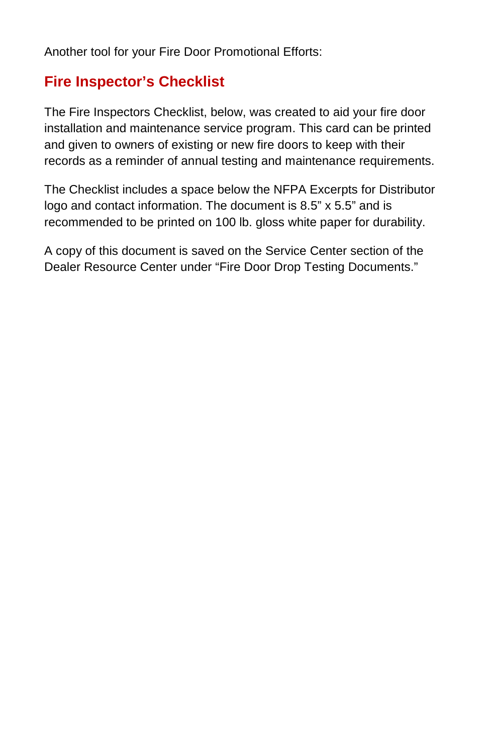Another tool for your Fire Door Promotional Efforts:

## **Fire Inspector's Checklist**

The Fire Inspectors Checklist, below, was created to aid your fire door installation and maintenance service program. This card can be printed and given to owners of existing or new fire doors to keep with their records as a reminder of annual testing and maintenance requirements.

The Checklist includes a space below the NFPA Excerpts for Distributor logo and contact information. The document is 8.5" x 5.5" and is recommended to be printed on 100 lb. gloss white paper for durability.

A copy of this document is saved on the Service Center section of the Dealer Resource Center under "Fire Door Drop Testing Documents."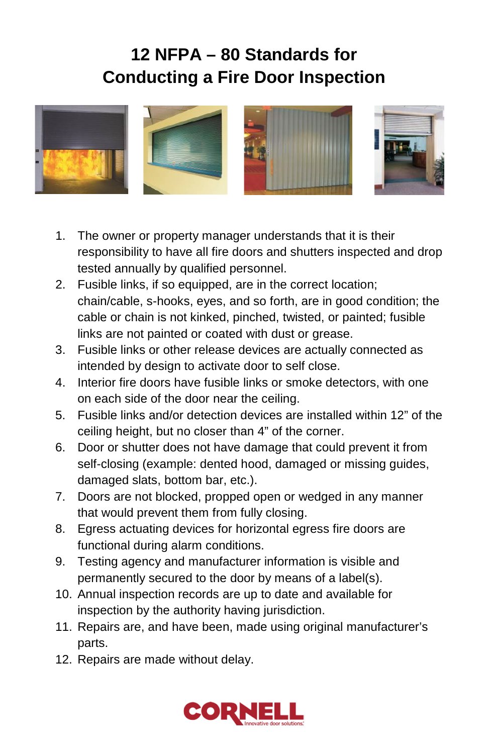## **12 NFPA – 80 Standards for Conducting a Fire Door Inspection**



- 1. The owner or property manager understands that it is their responsibility to have all fire doors and shutters inspected and drop tested annually by qualified personnel.
- 2. Fusible links, if so equipped, are in the correct location; chain/cable, s-hooks, eyes, and so forth, are in good condition; the cable or chain is not kinked, pinched, twisted, or painted; fusible links are not painted or coated with dust or grease.
- 3. Fusible links or other release devices are actually connected as intended by design to activate door to self close.
- 4. Interior fire doors have fusible links or smoke detectors, with one on each side of the door near the ceiling.
- 5. Fusible links and/or detection devices are installed within 12" of the ceiling height, but no closer than 4" of the corner.
- 6. Door or shutter does not have damage that could prevent it from self-closing (example: dented hood, damaged or missing guides, damaged slats, bottom bar, etc.).
- 7. Doors are not blocked, propped open or wedged in any manner that would prevent them from fully closing.
- 8. Egress actuating devices for horizontal egress fire doors are functional during alarm conditions.
- 9. Testing agency and manufacturer information is visible and permanently secured to the door by means of a label(s).
- 10. Annual inspection records are up to date and available for inspection by the authority having jurisdiction.
- 11. Repairs are, and have been, made using original manufacturer's parts.
- 12. Repairs are made without delay.